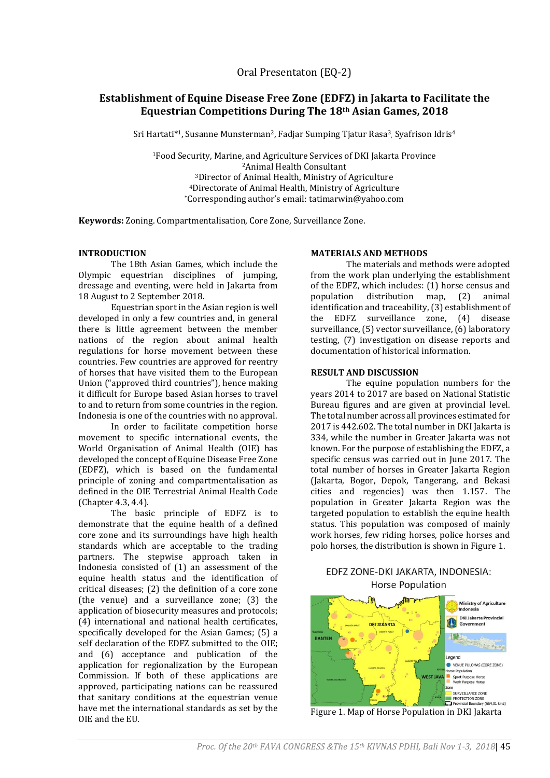# **Establishment of Equine Disease Free Zone (EDFZ) in Jakarta to Facilitate the Equestrian Competitions During The 18th Asian Games, 2018**

Sri Hartati\*<sup>1</sup>, Susanne Munsterman<sup>2</sup>, Fadjar Sumping Tjatur Rasa<sup>3</sup>, Syafrison Idris<sup>4</sup>

Food Security, Marine, and Agriculture Services of DKI Jakarta Province Animal Health Consultant Director of Animal Health, Ministry of Agriculture Directorate of Animal Health, Ministry of Agriculture \*Corresponding author's email: tatimarwin@yahoo.com

**Keywords:** Zoning. Compartmentalisation, Core Zone, Surveillance Zone.

#### **INTRODUCTION**

The 18th Asian Games, which include the Olympic equestrian disciplines of jumping, dressage and eventing, were held in Jakarta from 18 August to 2 September 2018.

Equestrian sport in the Asian region is well developed in only a few countries and, in general there is little agreement between the member nations of the region about animal health regulations for horse movement between these countries. Few countries are approved for reentry of horses that have visited them to the European Union ("approved third countries"), hence making it difficult for Europe based Asian horses to travel to and to return from some countries in the region. Indonesia is one of the countries with no approval.

In order to facilitate competition horse movement to specific international events, the World Organisation of Animal Health (OIE) has developed the concept of Equine Disease Free Zone (EDFZ), which is based on the fundamental principle of zoning and compartmentalisation as defined in the OIE Terrestrial Animal Health Code (Chapter 4.3, 4.4).

The basic principle of EDFZ is to demonstrate that the equine health of a defined core zone and its surroundings have high health standards which are acceptable to the trading partners. The stepwise approach taken in Indonesia consisted of (1) an assessment of the equine health status and the identification of critical diseases; (2) the definition of a core zone (the venue) and a surveillance zone; (3) the application of biosecurity measures and protocols; (4) international and national health certificates, specifically developed for the Asian Games; (5) a self declaration of the EDFZ submitted to the OIE; and (6) acceptance and publication of the application for regionalization by the European Commission. If both of these applications are approved, participating nations can be reassured that sanitary conditions at the equestrian venue have met the international standards as set by the OIE and the EU.

#### **MATERIALS AND METHODS**

The materials and methods were adopted from the work plan underlying the establishment of the EDFZ, which includes: (1) horse census and population distribution map, (2) animal identification and traceability, (3) establishment of the EDFZ surveillance zone, (4) disease surveillance, (5) vector surveillance, (6) laboratory testing, (7) investigation on disease reports and documentation of historical information.

#### **RESULT AND DISCUSSION**

The equine population numbers for the years 2014 to 2017 are based on National Statistic Bureau figures and are given at provincial level. The total number across all provinces estimated for 2017 is 442.602. The total number in DKI Jakarta is 334, while the number in Greater Jakarta was not known. For the purpose of establishing the EDFZ, a specific census was carried out in June 2017. The total number of horses in Greater Jakarta Region (Jakarta, Bogor, Depok, Tangerang, and Bekasi cities and regencies) was then 1.157. The population in Greater Jakarta Region was the targeted population to establish the equine health status. This population was composed of mainly work horses, few riding horses, police horses and polo horses, the distribution is shown in Figure 1.

## EDFZ ZONE-DKI JAKARTA, INDONESIA: **Horse Population**



Figure 1. Map of Horse Population in DKI Jakarta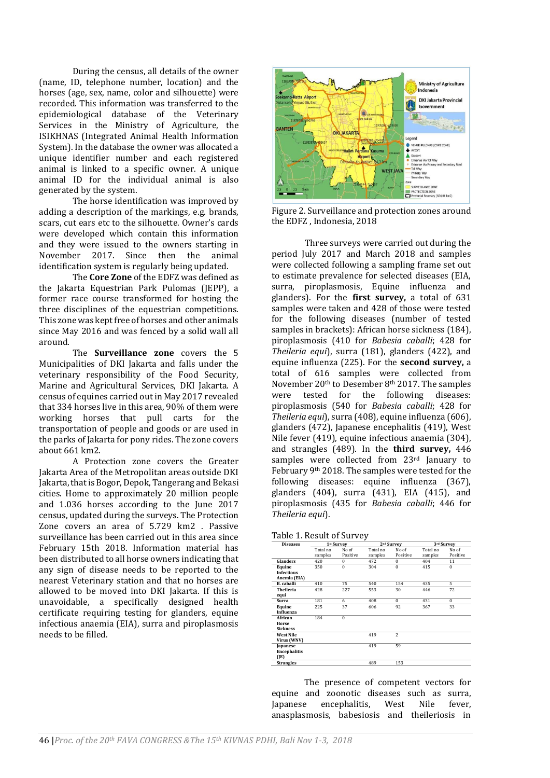During the census, all details of the owner (name, ID, telephone number, location) and the horses (age, sex, name, color and silhouette) were recorded. This information was transferred to the epidemiological database of the Veterinary Services in the Ministry of Agriculture, the ISIKHNAS (Integrated Animal Health Information System). In the database the owner was allocated a unique identifier number and each registered animal is linked to a specific owner. A unique animal ID for the individual animal is also generated by the system.

The horse identification was improved by adding a description of the markings, e.g. brands, scars, cut ears etc to the silhouette. Owner's cards were developed which contain this information and they were issued to the owners starting in November 2017. Since then the animal identification system is regularly being updated.

The **Core Zone** of the EDFZ was defined as the Jakarta Equestrian Park Pulomas (JEPP), a former race course transformed for hosting the three disciplines of the equestrian competitions. This zone was kept free of horses and other animals since May 2016 and was fenced by a solid wall all around.

The **Surveillance zone** covers the 5 Municipalities of DKI Jakarta and falls under the veterinary responsibility of the Food Security, Marine and Agricultural Services, DKI Jakarta. A census of equines carried out in May 2017 revealed that 334 horses live in this area, 90% of them were working horses that pull carts for the transportation of people and goods or are used in the parks of Jakarta for pony rides. The zone covers about 661 km2.

A Protection zone covers the Greater Jakarta Area of the Metropolitan areas outside DKI Jakarta, that is Bogor, Depok, Tangerang and Bekasi cities. Home to approximately 20 million people and 1.036 horses according to the June 2017 census, updated during the surveys. The Protection Zone covers an area of 5.729 km2 . Passive surveillance has been carried out in this area since February 15th 2018. Information material has been distributed to all horse owners indicating that any sign of disease needs to be reported to the nearest Veterinary station and that no horses are allowed to be moved into DKI Jakarta. If this is unavoidable, a specifically designed health certificate requiring testing for glanders, equine infectious anaemia (EIA), surra and piroplasmosis needs to be filled.



Figure 2. Surveillance and protection zones around the EDFZ , Indonesia, 2018

Three surveys were carried out during the period July 2017 and March 2018 and samples were collected following a sampling frame set out to estimate prevalence for selected diseases (EIA, surra, piroplasmosis, Equine influenza and glanders). For the **first survey,** a total of 631 samples were taken and 428 of those were tested for the following diseases (number of tested samples in brackets): African horse sickness (184), piroplasmosis (410 for *Babesia caballi*; 428 for *Theileria equi*), surra (181), glanders (422), and equine influenza (225). For the **second survey,** a total of 616 samples were collected from November 20th to Desember 8th 2017. The samples were tested for the following diseases: piroplasmosis (540 for *Babesia caballi*; 428 for *Theileria equi*), surra (408), equine influenza (606), glanders (472), Japanese encephalitis (419), West Nile fever (419), equine infectious anaemia (304), and strangles (489). In the **third survey,** 446 samples were collected from 23<sup>rd</sup> January to February 9th 2018. The samples were tested for the following diseases: equine influenza (367), glanders (404), surra (431), EIA (415), and piroplasmosis (435 for *Babesia caballi*; 446 for *Theileria equi*).

| Table 1. Result of Survey |
|---------------------------|
|---------------------------|

| <b>Diseases</b>     | 1st Survey |          | 2 <sup>nd</sup> Survey |                | 3rd Survey |              |
|---------------------|------------|----------|------------------------|----------------|------------|--------------|
|                     | Total no   | No of    | Total no               | No of          | Total no   | No of        |
|                     | samples    | Positive | samples                | Positive       | samples    | Positive     |
| Glanders            | 420        | $\Omega$ | 472                    | $\Omega$       | 404        | 11           |
| Equine              | 350        | $\bf{0}$ | 304                    | $\bf{0}$       | 415        | $\mathbf{0}$ |
| <b>Infectious</b>   |            |          |                        |                |            |              |
| Anemia (EIA)        |            |          |                        |                |            |              |
| <b>B.</b> caballi   | 410        | 75       | 540                    | 154            | 435        | 5            |
| Theileria           | 428        | 227      | 553                    | 30             | 446        | 72           |
| equi                |            |          |                        |                |            |              |
| <b>Surra</b>        | 181        | 6        | 408                    | $\Omega$       | 431        | $\bf{0}$     |
| Equine              | 225        | 37       | 606                    | 92             | 367        | 33           |
| Influenza           |            |          |                        |                |            |              |
| African             | 184        | $\bf{0}$ |                        |                |            |              |
| Horse               |            |          |                        |                |            |              |
| <b>Sickness</b>     |            |          |                        |                |            |              |
| <b>West Nile</b>    |            |          | 419                    | $\overline{c}$ |            |              |
| Virus (WNV)         |            |          |                        |                |            |              |
| Japanese            |            |          | 419                    | 59             |            |              |
| <b>Encephalitis</b> |            |          |                        |                |            |              |
| (IE)                |            |          |                        |                |            |              |
| <b>Strangles</b>    |            |          | 489                    | 153            |            |              |

The presence of competent vectors for equine and zoonotic diseases such as surra, Japanese encephalitis, West Nile fever, anasplasmosis, babesiosis and theileriosis in